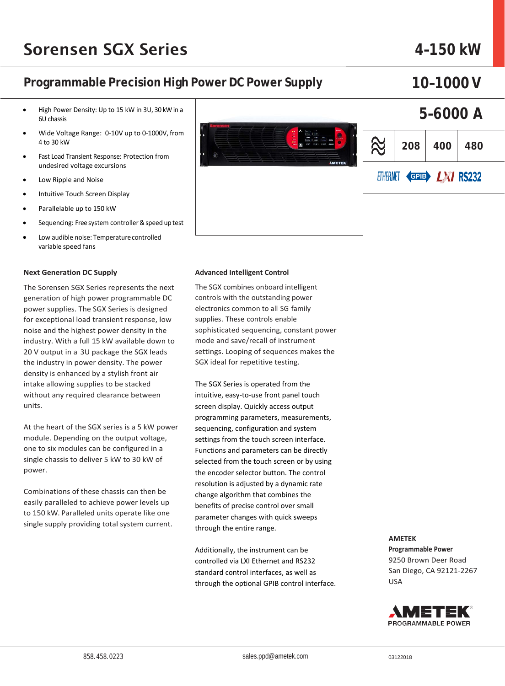## Sorensen SGX Series **4–150 kW**

### **Programmable Precision High Power DC Power Supply 10–1000V**

- High Power Density: Up to 15 kW in 3U, 30 kW in a 6U chassis
- Wide Voltage Range: 0-10V up to 0-1000V, from 4 to 30 kW
- Fast Load Transient Response: Protection from undesired voltage excursions
- Low Ripple and Noise
- Intuitive Touch Screen Display
- Parallelable up to 150 kW
- Sequencing: Free system controller & speed up test
- Low audible noise: Temperaturecontrolled variable speed fans

### **Next Generation DC Supply**

The Sorensen SGX Series represents the next generation of high power programmable DC power supplies. The SGX Series is designed for exceptional load transient response, low noise and the highest power density in the industry. With a full 15 kW available down to 20 V output in a 3U package the SGX leads the industry in power density. The power density is enhanced by a stylish front air intake allowing supplies to be stacked without any required clearance between units.

At the heart of the SGX series is a 5 kW power module. Depending on the output voltage, one to six modules can be configured in a single chassis to deliver 5 kW to 30 kW of power.

Combinations of these chassis can then be easily paralleled to achieve power levels up to 150 kW. Paralleled units operate like one single supply providing total system current.



### **Advanced Intelligent Control**

The SGX combines onboard intelligent controls with the outstanding power electronics common to all SG family supplies. These controls enable sophisticated sequencing, constant power mode and save/recall of instrument settings. Looping of sequences makes the SGX ideal for repetitive testing.

The SGX Series is operated from the intuitive, easy-to-use front panel touch screen display. Quickly access output programming parameters, measurements, sequencing, configuration and system settings from the touch screen interface. Functions and parameters can be directly selected from the touch screen or by using the encoder selector button. The control resolution is adjusted by a dynamic rate change algorithm that combines the benefits of precise control over small parameter changes with quick sweeps through the entire range.

Additionally, the instrument can be controlled via LXI Ethernet and RS232 standard control interfaces, as well as through the optional GPIB control interface.

## **5–6000 A**  $\approx$ **208 400 480** ETHERNET GETER LXI RS232

**AMETEK Programmable Power** 9250 Brown Deer Road San Diego, CA 92121-2267 USA

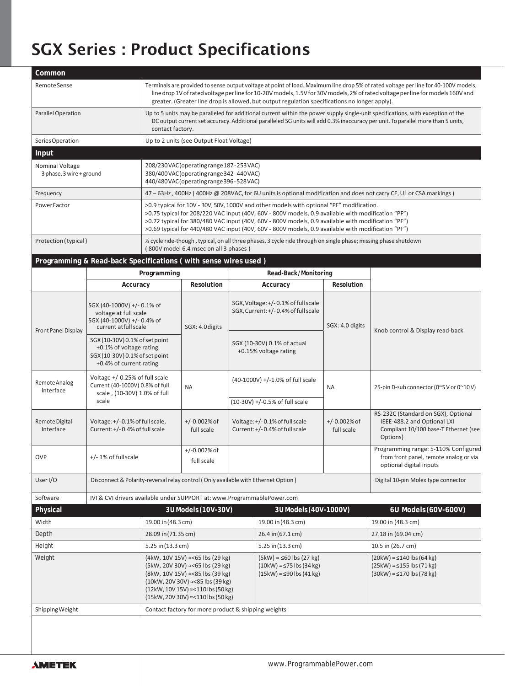# SGX Series : Product Specifications

| Common                                      |                                                                                                                                                                                                                                      |                                                                                                                                                                                                                                                                                                                                                                                                            |                                       |                                                                    |                                                                                                                 |                              |                                                                                                                            |  |  |  |
|---------------------------------------------|--------------------------------------------------------------------------------------------------------------------------------------------------------------------------------------------------------------------------------------|------------------------------------------------------------------------------------------------------------------------------------------------------------------------------------------------------------------------------------------------------------------------------------------------------------------------------------------------------------------------------------------------------------|---------------------------------------|--------------------------------------------------------------------|-----------------------------------------------------------------------------------------------------------------|------------------------------|----------------------------------------------------------------------------------------------------------------------------|--|--|--|
| Remote Sense                                |                                                                                                                                                                                                                                      | Terminals are provided to sense output voltage at point of load. Maximum line drop 5% of rated voltage per line for 40-100V models,<br>line drop 1V of rated voltage per line for 10-20V models, 1.5V for 30V models, 2% of rated voltage per line for models 160V and<br>greater. (Greater line drop is allowed, but output regulation specifications no longer apply).                                   |                                       |                                                                    |                                                                                                                 |                              |                                                                                                                            |  |  |  |
| <b>Parallel Operation</b>                   |                                                                                                                                                                                                                                      | Up to 5 units may be paralleled for additional current within the power supply single-unit specifications, with exception of the<br>DC output current set accuracy. Additional paralleled SG units will add 0.3% inaccuracy per unit. To parallel more than 5 units,<br>contact factory.                                                                                                                   |                                       |                                                                    |                                                                                                                 |                              |                                                                                                                            |  |  |  |
| Series Operation                            |                                                                                                                                                                                                                                      | Up to 2 units (see Output Float Voltage)                                                                                                                                                                                                                                                                                                                                                                   |                                       |                                                                    |                                                                                                                 |                              |                                                                                                                            |  |  |  |
| Input                                       |                                                                                                                                                                                                                                      |                                                                                                                                                                                                                                                                                                                                                                                                            |                                       |                                                                    |                                                                                                                 |                              |                                                                                                                            |  |  |  |
| Nominal Voltage<br>3 phase, 3 wire + ground |                                                                                                                                                                                                                                      | 208/230 VAC (operating range 187 - 253 VAC)<br>380/400 VAC (operating range 342 - 440 VAC)<br>440/480VAC(operating range 396-528VAC)                                                                                                                                                                                                                                                                       |                                       |                                                                    |                                                                                                                 |                              |                                                                                                                            |  |  |  |
| Frequency                                   |                                                                                                                                                                                                                                      |                                                                                                                                                                                                                                                                                                                                                                                                            |                                       |                                                                    |                                                                                                                 |                              | 47 – 63Hz, 400Hz (400Hz @ 208VAC, for 6U units is optional modification and does not carry CE, UL or CSA markings)         |  |  |  |
| Power Factor                                |                                                                                                                                                                                                                                      | >0.9 typical for 10V - 30V, 50V, 1000V and other models with optional "PF" modification.<br>>0.75 typical for 208/220 VAC input (40V, 60V - 800V models, 0.9 available with modification "PF")<br>>0.72 typical for 380/480 VAC input (40V, 60V - 800V models, 0.9 available with modification "PF")<br>>0.69 typical for 440/480 VAC input (40V, 60V - 800V models, 0.9 available with modification "PF") |                                       |                                                                    |                                                                                                                 |                              |                                                                                                                            |  |  |  |
| Protection (typical)                        |                                                                                                                                                                                                                                      |                                                                                                                                                                                                                                                                                                                                                                                                            | (800V model 6.4 msec on all 3 phases) |                                                                    | % cycle ride-though, typical, on all three phases, 3 cycle ride through on single phase; missing phase shutdown |                              |                                                                                                                            |  |  |  |
|                                             | Programming & Read-back Specifications (with sense wires used)                                                                                                                                                                       |                                                                                                                                                                                                                                                                                                                                                                                                            |                                       |                                                                    |                                                                                                                 |                              |                                                                                                                            |  |  |  |
|                                             |                                                                                                                                                                                                                                      | Programming                                                                                                                                                                                                                                                                                                                                                                                                |                                       |                                                                    | Read-Back/Monitoring                                                                                            |                              |                                                                                                                            |  |  |  |
|                                             | Accuracy                                                                                                                                                                                                                             |                                                                                                                                                                                                                                                                                                                                                                                                            | Resolution                            |                                                                    | Accuracy                                                                                                        | Resolution                   |                                                                                                                            |  |  |  |
| <b>Front Panel Display</b>                  | SGX (40-1000V) +/- 0.1% of<br>voltage at full scale<br>SGX (40-1000V) +/- 0.4% of<br>current at full scale<br>SGX (10-30V) 0.1% of set point<br>+0.1% of voltage rating<br>SGX (10-30V) 0.1% of set point<br>+0.4% of current rating |                                                                                                                                                                                                                                                                                                                                                                                                            | SGX: 4.0 digits                       |                                                                    | SGX, Voltage: +/-0.1% of full scale<br>SGX, Current: +/-0.4% of full scale<br>SGX: 4.0 digits                   |                              | Knob control & Display read-back                                                                                           |  |  |  |
|                                             |                                                                                                                                                                                                                                      |                                                                                                                                                                                                                                                                                                                                                                                                            |                                       |                                                                    | SGX (10-30V) 0.1% of actual<br>+0.15% voltage rating                                                            |                              |                                                                                                                            |  |  |  |
| Remote Analog<br>Interface                  | Voltage +/-0.25% of full scale<br>Current (40-1000V) 0.8% of full<br>scale, (10-30V) 1.0% of full<br>scale                                                                                                                           |                                                                                                                                                                                                                                                                                                                                                                                                            | <b>NA</b>                             | (40-1000V) +/-1.0% of full scale<br>(10-30V) +/-0.5% of full scale |                                                                                                                 | NA                           | 25-pin D-sub connector (0~5 V or 0~10 V)                                                                                   |  |  |  |
| <b>Remote Digital</b><br>Interface          | Voltage: +/-0.1% of full scale,<br>Current: +/-0.4% of full scale                                                                                                                                                                    |                                                                                                                                                                                                                                                                                                                                                                                                            | $+/-0.002\%$ of<br>full scale         | Voltage: +/-0.1% of full scale<br>Current: +/-0.4% of full scale   |                                                                                                                 | $+/-0.002%$ of<br>full scale | RS-232C (Standard on SGX), Optional<br>IEEE-488.2 and Optional LXI<br>Compliant 10/100 base-T Ethernet (see<br>Options)    |  |  |  |
| <b>OVP</b>                                  | +/-1% of fullscale                                                                                                                                                                                                                   |                                                                                                                                                                                                                                                                                                                                                                                                            | $+/-0.002\%$ of<br>full scale         |                                                                    |                                                                                                                 |                              | Programming range: 5-110% Configured<br>from front panel, remote analog or via<br>optional digital inputs                  |  |  |  |
| User I/O                                    | Disconnect & Polarity-reversal relay control (Only available with Ethernet Option)                                                                                                                                                   |                                                                                                                                                                                                                                                                                                                                                                                                            |                                       |                                                                    | Digital 10-pin Molex type connector                                                                             |                              |                                                                                                                            |  |  |  |
| Software                                    | IVI & CVI drivers available under SUPPORT at: www.ProgrammablePower.com                                                                                                                                                              |                                                                                                                                                                                                                                                                                                                                                                                                            |                                       |                                                                    |                                                                                                                 |                              |                                                                                                                            |  |  |  |
| Physical                                    |                                                                                                                                                                                                                                      |                                                                                                                                                                                                                                                                                                                                                                                                            | 3U Models (10V-30V)                   |                                                                    | 3U Models (40V-1000V)                                                                                           |                              | 6U Models (60V-600V)                                                                                                       |  |  |  |
| Width                                       |                                                                                                                                                                                                                                      | 19.00 in (48.3 cm)                                                                                                                                                                                                                                                                                                                                                                                         |                                       |                                                                    | 19.00 in (48.3 cm)                                                                                              |                              | 19.00 in (48.3 cm)                                                                                                         |  |  |  |
| Depth                                       |                                                                                                                                                                                                                                      | 28.09 in (71.35 cm)                                                                                                                                                                                                                                                                                                                                                                                        |                                       |                                                                    | 26.4 in (67.1 cm)                                                                                               |                              | 27.18 in (69.04 cm)                                                                                                        |  |  |  |
| Height                                      |                                                                                                                                                                                                                                      | 5.25 in (13.3 cm)                                                                                                                                                                                                                                                                                                                                                                                          |                                       |                                                                    | 5.25 in (13.3 cm)                                                                                               |                              | 10.5 in (26.7 cm)                                                                                                          |  |  |  |
| Weight                                      |                                                                                                                                                                                                                                      | (4kW, 10V 15V) ≈<65 lbs (29 kg)<br>(5kW, 20V 30V) ≈<65 lbs (29 kg)<br>(8kW, 10V 15V) ≈<85 lbs (39 kg)<br>$(10kW, 20V 30V) \approx 85$ lbs $(39 kg)$<br>(12kW, 10V 15V) ≈<110 lbs (50 kg)<br>(15kW, 20V 30V) ≈<110 lbs (50 kg)                                                                                                                                                                              |                                       |                                                                    | $(5kW) \approx 60$ lbs (27 kg)<br>$(10kW)$ ≈ ≤75 lbs (34 kg)<br>$(15kW) \approx 90$ lbs $(41 kg)$               |                              | $(20kW) \approx 140 \text{ lbs} (64 \text{ kg})$<br>$(25kW) \approx 155$ lbs $(71 kg)$<br>$(30kW) \approx 170$ lbs (78 kg) |  |  |  |
|                                             |                                                                                                                                                                                                                                      |                                                                                                                                                                                                                                                                                                                                                                                                            |                                       |                                                                    |                                                                                                                 |                              |                                                                                                                            |  |  |  |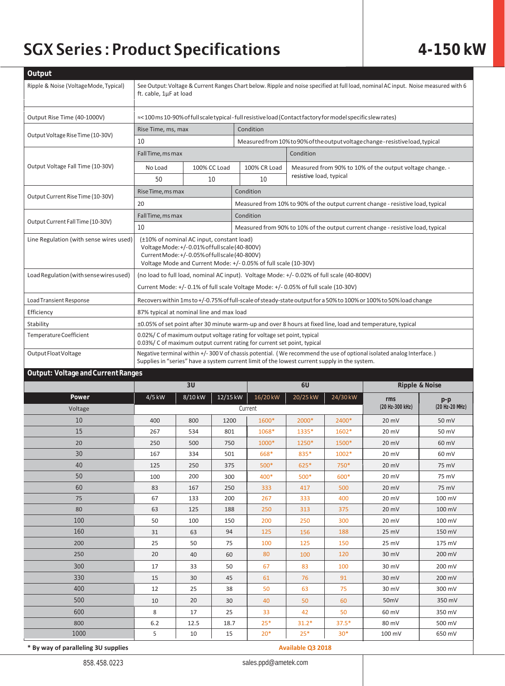# SGX Series : Product Specifications **4-150 kW**

| Output                                  |                                                                                                                                                                                                                        |              |                                                                                                                |                                                                                              |                                                                                     |                  |                           |                       |  |  |
|-----------------------------------------|------------------------------------------------------------------------------------------------------------------------------------------------------------------------------------------------------------------------|--------------|----------------------------------------------------------------------------------------------------------------|----------------------------------------------------------------------------------------------|-------------------------------------------------------------------------------------|------------------|---------------------------|-----------------------|--|--|
| Ripple & Noise (Voltage Mode, Typical)  | See Output: Voltage & Current Ranges Chart below. Ripple and noise specified at full load, nominal AC input. Noise measured with 6                                                                                     |              |                                                                                                                |                                                                                              |                                                                                     |                  |                           |                       |  |  |
|                                         | ft. cable, 1µF at load                                                                                                                                                                                                 |              |                                                                                                                |                                                                                              |                                                                                     |                  |                           |                       |  |  |
| Output Rise Time (40-1000V)             |                                                                                                                                                                                                                        |              | act 100 ms 10-90% of full scale typical - full resistive load (Contact factory for model specific slew rates)≈ |                                                                                              |                                                                                     |                  |                           |                       |  |  |
|                                         | Rise Time, ms, max                                                                                                                                                                                                     |              |                                                                                                                | Condition                                                                                    |                                                                                     |                  |                           |                       |  |  |
| Output Voltage Rise Time (10-30V)       | 10                                                                                                                                                                                                                     |              |                                                                                                                | Measured from 10% to 90% of the output voltage change - resistive load, typical              |                                                                                     |                  |                           |                       |  |  |
|                                         | Fall Time, ms max<br>Condition                                                                                                                                                                                         |              |                                                                                                                |                                                                                              |                                                                                     |                  |                           |                       |  |  |
| Output Voltage Fall Time (10-30V)       | No Load                                                                                                                                                                                                                | 100% CC Load |                                                                                                                | 100% CR Load                                                                                 | Measured from 90% to 10% of the output voltage change. -<br>resistive load, typical |                  |                           |                       |  |  |
|                                         | 50                                                                                                                                                                                                                     |              | 10                                                                                                             | 10                                                                                           |                                                                                     |                  |                           |                       |  |  |
|                                         | Rise Time, ms max                                                                                                                                                                                                      |              |                                                                                                                | Condition                                                                                    |                                                                                     |                  |                           |                       |  |  |
| Output Current Rise Time (10-30V)       | 20                                                                                                                                                                                                                     |              |                                                                                                                |                                                                                              |                                                                                     |                  |                           |                       |  |  |
|                                         | Fall Time, ms max                                                                                                                                                                                                      |              |                                                                                                                | Measured from 10% to 90% of the output current change - resistive load, typical              |                                                                                     |                  |                           |                       |  |  |
| Output Current Fall Time (10-30V)       | 10 <sup>°</sup>                                                                                                                                                                                                        |              |                                                                                                                | Condition<br>Measured from 90% to 10% of the output current change - resistive load, typical |                                                                                     |                  |                           |                       |  |  |
| Line Regulation (with sense wires used) |                                                                                                                                                                                                                        |              |                                                                                                                |                                                                                              |                                                                                     |                  |                           |                       |  |  |
|                                         | (±10% of nominal AC input, constant load)<br>Voltage Mode: +/-0.01% of full scale (40-800V)                                                                                                                            |              |                                                                                                                |                                                                                              |                                                                                     |                  |                           |                       |  |  |
|                                         | Current Mode: +/-0.05% of full scale (40-800V)                                                                                                                                                                         |              |                                                                                                                |                                                                                              |                                                                                     |                  |                           |                       |  |  |
| Load Regulation (with sense wires used) | Voltage Mode and Current Mode: +/- 0.05% of full scale (10-30V)<br>(no load to full load, nominal AC input). Voltage Mode: +/- 0.02% of full scale (40-800V)                                                           |              |                                                                                                                |                                                                                              |                                                                                     |                  |                           |                       |  |  |
|                                         | Current Mode: +/- 0.1% of full scale Voltage Mode: +/- 0.05% of full scale (10-30V)                                                                                                                                    |              |                                                                                                                |                                                                                              |                                                                                     |                  |                           |                       |  |  |
|                                         |                                                                                                                                                                                                                        |              |                                                                                                                |                                                                                              |                                                                                     |                  |                           |                       |  |  |
| Load Transient Response                 | Recovers within 1ms to +/-0.75% of full-scale of steady-state output for a 50% to 100% or 100% to 50% load change                                                                                                      |              |                                                                                                                |                                                                                              |                                                                                     |                  |                           |                       |  |  |
| Efficiency                              | 87% typical at nominal line and max load                                                                                                                                                                               |              |                                                                                                                |                                                                                              |                                                                                     |                  |                           |                       |  |  |
| Stability<br>Temperature Coefficient    | ±0.05% of set point after 30 minute warm-up and over 8 hours at fixed line, load and temperature, typical                                                                                                              |              |                                                                                                                |                                                                                              |                                                                                     |                  |                           |                       |  |  |
|                                         | 0.02%/ C of maximum output voltage rating for voltage set point, typical<br>0.03%/ C of maximum output current rating for current set point, typical                                                                   |              |                                                                                                                |                                                                                              |                                                                                     |                  |                           |                       |  |  |
| Output Float Voltage                    | Negative terminal within +/- 300 V of chassis potential. (We recommend the use of optional isolated analog Interface.)<br>Supplies in "series" have a system current limit of the lowest current supply in the system. |              |                                                                                                                |                                                                                              |                                                                                     |                  |                           |                       |  |  |
|                                         |                                                                                                                                                                                                                        |              |                                                                                                                |                                                                                              |                                                                                     |                  |                           |                       |  |  |
|                                         |                                                                                                                                                                                                                        |              |                                                                                                                |                                                                                              |                                                                                     |                  |                           |                       |  |  |
| Output: Voltage and Current Ranges      |                                                                                                                                                                                                                        | 3U           |                                                                                                                |                                                                                              | 6U                                                                                  |                  |                           |                       |  |  |
| Power                                   | 4/5 kW                                                                                                                                                                                                                 | 8/10 kW      | 12/15 kW                                                                                                       | 16/20 kW                                                                                     | 20/25 kW                                                                            | 24/30 kW         | <b>Ripple &amp; Noise</b> |                       |  |  |
| Voltage                                 |                                                                                                                                                                                                                        |              |                                                                                                                | Current                                                                                      |                                                                                     |                  | rms<br>(20 Hz-300 kHz)    | p-p<br>(20 Hz-20 MHz) |  |  |
| 10                                      | 400                                                                                                                                                                                                                    | 800          | 1200                                                                                                           | 1600*                                                                                        | 2000*                                                                               | 2400*            | 20 mV                     | 50 mV                 |  |  |
| 15                                      | 267                                                                                                                                                                                                                    | 534          | 801                                                                                                            | 1068*                                                                                        | 1335*                                                                               | 1602*            | 20 mV                     | 50 mV                 |  |  |
| 20                                      | 250                                                                                                                                                                                                                    | 500          | 750                                                                                                            | 1000*                                                                                        | 1250*                                                                               | 1500*            | 20 mV                     | 60 mV                 |  |  |
| 30                                      | 167                                                                                                                                                                                                                    | 334          | 501                                                                                                            | 668*                                                                                         | 835*                                                                                | 1002*            | 20 mV                     | 60 mV                 |  |  |
| 40                                      | 125                                                                                                                                                                                                                    | 250          | 3/5                                                                                                            | 500*                                                                                         | $625*$                                                                              | $750*$           | 20 mV                     | 75 mV                 |  |  |
| 50                                      | 100                                                                                                                                                                                                                    | 200          | 300                                                                                                            | 400*                                                                                         | 500*                                                                                | 600*             | 20 mV                     | 75 mV                 |  |  |
| 60                                      | 83                                                                                                                                                                                                                     | 167          | 250                                                                                                            | 333                                                                                          | 417                                                                                 | 500              | 20 mV                     | 75 mV                 |  |  |
| 75                                      | 67                                                                                                                                                                                                                     | 133          | 200                                                                                                            | 267                                                                                          | 333                                                                                 | 400              | 20 mV                     | 100 mV                |  |  |
| 80                                      | 63                                                                                                                                                                                                                     | 125          | 188                                                                                                            | 250                                                                                          | 313                                                                                 | 375              | 20 mV                     | 100 mV                |  |  |
| 100                                     | 50                                                                                                                                                                                                                     | 100          | 150                                                                                                            | 200                                                                                          | 250                                                                                 | 300              | 20 mV                     | 100 mV                |  |  |
| 160                                     | 31                                                                                                                                                                                                                     | 63           | 94                                                                                                             | 125                                                                                          | 156                                                                                 | 188              | 25 mV                     | 150 mV                |  |  |
| 200                                     | 25                                                                                                                                                                                                                     | 50           | 75                                                                                                             | 100                                                                                          | 125                                                                                 | 150              | 25 mV                     | 175 mV                |  |  |
| 250                                     | 20                                                                                                                                                                                                                     | 40           | 60                                                                                                             | 80                                                                                           | 100                                                                                 | 120              | 30 mV                     | 200 mV                |  |  |
| 300                                     | 17                                                                                                                                                                                                                     | 33           | 50                                                                                                             | 67                                                                                           | 83                                                                                  | 100              | 30 mV                     | 200 mV                |  |  |
| 330                                     | 15                                                                                                                                                                                                                     | 30           | 45                                                                                                             | 61                                                                                           | 76                                                                                  | 91               | 30 mV                     | 200 mV                |  |  |
| 400                                     | 12                                                                                                                                                                                                                     | 25           | 38                                                                                                             | 50                                                                                           | 63                                                                                  | 75               | 30 mV                     | 300 mV                |  |  |
| 500                                     | 10                                                                                                                                                                                                                     | 20           | 30                                                                                                             | 40                                                                                           | 50                                                                                  | 60               | 50 <sub>mV</sub>          | 350 mV                |  |  |
| 600                                     | 8                                                                                                                                                                                                                      | 17           | 25                                                                                                             | 33                                                                                           | 42                                                                                  | 50               | 60 mV                     | 350 mV                |  |  |
| 800<br>1000                             | 6.2<br>5                                                                                                                                                                                                               | 12.5<br>10   | 18.7<br>15                                                                                                     | $25*$<br>$20*$                                                                               | $31.2*$<br>$25*$                                                                    | $37.5*$<br>$30*$ | 80 mV<br>100 mV           | 500 mV<br>650 mV      |  |  |

\* By way of paralleling 3U supplies **Available Q3 2018**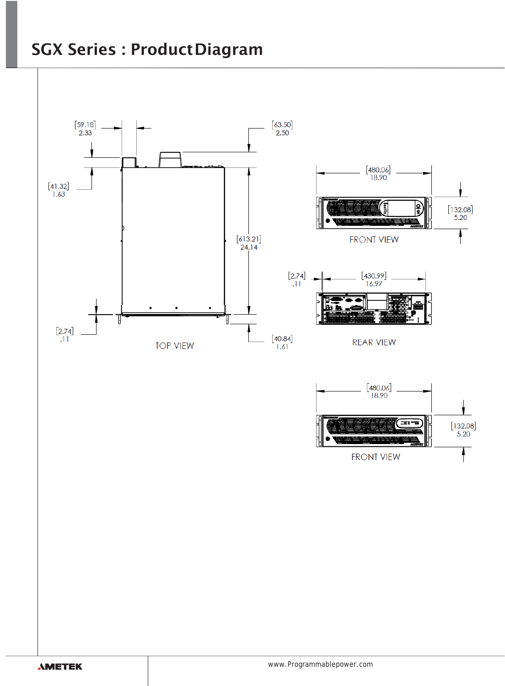## SGX Series : ProductDiagram

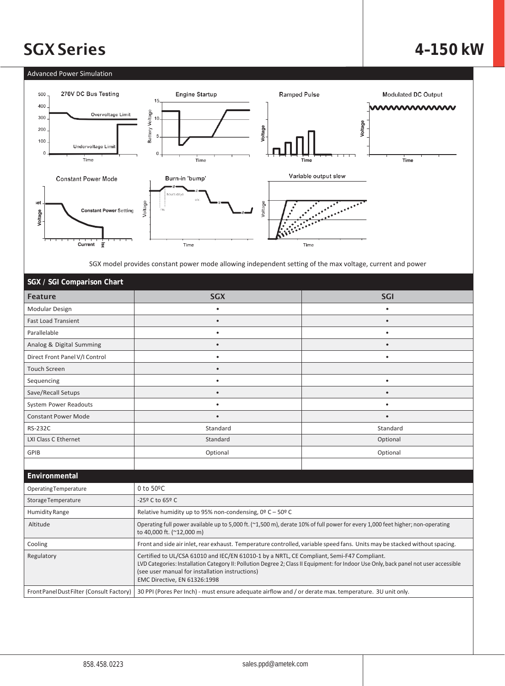# SGXSeries **4–150 kW**

### Advanced Power Simulation



SGX model provides constant power mode allowing independent setting of the max voltage, current and power

| SGX / SGI Comparison Chart                |                                                                                                                                                                                                                                                                                                                       |            |  |  |  |  |
|-------------------------------------------|-----------------------------------------------------------------------------------------------------------------------------------------------------------------------------------------------------------------------------------------------------------------------------------------------------------------------|------------|--|--|--|--|
| <b>Feature</b>                            | <b>SGX</b>                                                                                                                                                                                                                                                                                                            | <b>SGI</b> |  |  |  |  |
| Modular Design                            | ٠                                                                                                                                                                                                                                                                                                                     | ٠          |  |  |  |  |
| <b>Fast Load Transient</b>                | $\bullet$                                                                                                                                                                                                                                                                                                             | $\bullet$  |  |  |  |  |
| Parallelable                              | ٠                                                                                                                                                                                                                                                                                                                     | $\bullet$  |  |  |  |  |
| Analog & Digital Summing                  | $\bullet$                                                                                                                                                                                                                                                                                                             | $\bullet$  |  |  |  |  |
| Direct Front Panel V/I Control            | ٠                                                                                                                                                                                                                                                                                                                     | $\bullet$  |  |  |  |  |
| <b>Touch Screen</b>                       | ٠                                                                                                                                                                                                                                                                                                                     |            |  |  |  |  |
| Sequencing                                | $\bullet$                                                                                                                                                                                                                                                                                                             | $\bullet$  |  |  |  |  |
| Save/Recall Setups                        | $\bullet$                                                                                                                                                                                                                                                                                                             | $\bullet$  |  |  |  |  |
| System Power Readouts                     | ٠                                                                                                                                                                                                                                                                                                                     | $\bullet$  |  |  |  |  |
| <b>Constant Power Mode</b>                | $\bullet$                                                                                                                                                                                                                                                                                                             | $\bullet$  |  |  |  |  |
| <b>RS-232C</b>                            | Standard                                                                                                                                                                                                                                                                                                              | Standard   |  |  |  |  |
| LXI Class C Ethernet                      | Standard                                                                                                                                                                                                                                                                                                              | Optional   |  |  |  |  |
| <b>GPIB</b>                               | Optional                                                                                                                                                                                                                                                                                                              | Optional   |  |  |  |  |
|                                           |                                                                                                                                                                                                                                                                                                                       |            |  |  |  |  |
| Environmental                             |                                                                                                                                                                                                                                                                                                                       |            |  |  |  |  |
| OperatingTemperature                      | 0 to $50^{\circ}$ C                                                                                                                                                                                                                                                                                                   |            |  |  |  |  |
| Storage Temperature                       | -25º C to 65º C                                                                                                                                                                                                                                                                                                       |            |  |  |  |  |
| <b>Humidity Range</b>                     | Relative humidity up to 95% non-condensing, $0^{\circ}$ C - 50° C                                                                                                                                                                                                                                                     |            |  |  |  |  |
| Altitude                                  | Operating full power available up to 5,000 ft. (~1,500 m), derate 10% of full power for every 1,000 feet higher; non-operating<br>to 40,000 ft. (~12,000 m)                                                                                                                                                           |            |  |  |  |  |
| Cooling                                   | Front and side air inlet, rear exhaust. Temperature controlled, variable speed fans. Units may be stacked without spacing.                                                                                                                                                                                            |            |  |  |  |  |
| Regulatory                                | Certified to UL/CSA 61010 and IEC/EN 61010-1 by a NRTL, CE Compliant, Semi-F47 Compliant.<br>LVD Categories: Installation Category II: Pollution Degree 2; Class II Equipment: for Indoor Use Only, back panel not user accessible<br>(see user manual for installation instructions)<br>EMC Directive, EN 61326:1998 |            |  |  |  |  |
| Front Panel Dust Filter (Consult Factory) | 30 PPI (Pores Per Inch) - must ensure adequate airflow and / or derate max. temperature. 3U unit only.                                                                                                                                                                                                                |            |  |  |  |  |